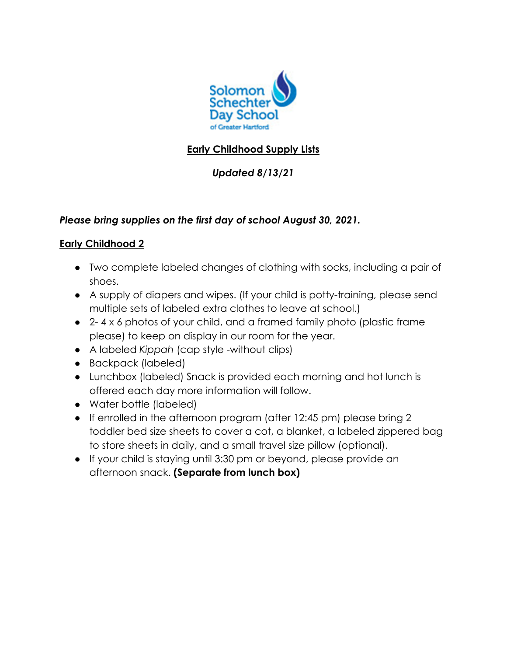

# **Early Childhood Supply Lists**

# *Updated 8/13/21*

## *Please bring supplies on the first day of school August 30, 2021.*

## **Early Childhood 2**

- Two complete labeled changes of clothing with socks, including a pair of shoes.
- A supply of diapers and wipes. (If your child is potty-training, please send multiple sets of labeled extra clothes to leave at school.)
- 2-4 x 6 photos of your child, and a framed family photo (plastic frame please) to keep on display in our room for the year.
- A labeled *Kippah* (cap style -without clips)
- Backpack (labeled)
- Lunchbox (labeled) Snack is provided each morning and hot lunch is offered each day more information will follow.
- Water bottle (labeled)
- If enrolled in the afternoon program (after 12:45 pm) please bring 2 toddler bed size sheets to cover a cot, a blanket, a labeled zippered bag to store sheets in daily, and a small travel size pillow (optional).
- If your child is staying until 3:30 pm or beyond, please provide an afternoon snack. **(Separate from lunch box)**